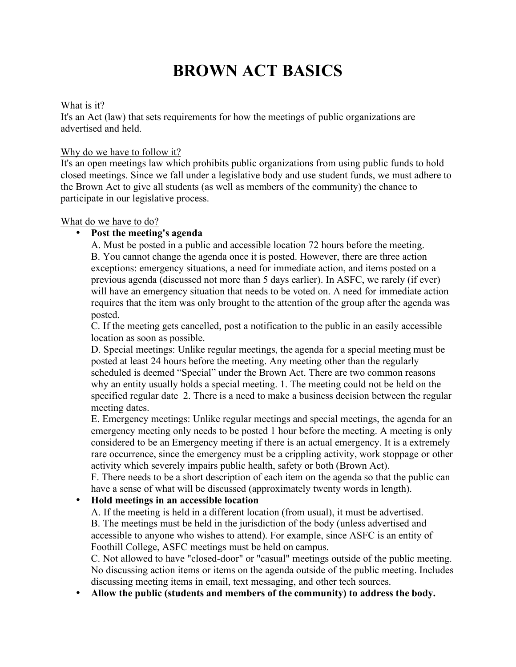# **BROWN ACT BASICS**

#### What is it?

It's an Act (law) that sets requirements for how the meetings of public organizations are advertised and held.

## Why do we have to follow it?

It's an open meetings law which prohibits public organizations from using public funds to hold closed meetings. Since we fall under a legislative body and use student funds, we must adhere to the Brown Act to give all students (as well as members of the community) the chance to participate in our legislative process.

## What do we have to do?

# • **Post the meeting's agenda**

A. Must be posted in a public and accessible location 72 hours before the meeting. B. You cannot change the agenda once it is posted. However, there are three action exceptions: emergency situations, a need for immediate action, and items posted on a previous agenda (discussed not more than 5 days earlier). In ASFC, we rarely (if ever) will have an emergency situation that needs to be voted on. A need for immediate action requires that the item was only brought to the attention of the group after the agenda was posted.

C. If the meeting gets cancelled, post a notification to the public in an easily accessible location as soon as possible.

D. Special meetings: Unlike regular meetings, the agenda for a special meeting must be posted at least 24 hours before the meeting. Any meeting other than the regularly scheduled is deemed "Special" under the Brown Act. There are two common reasons why an entity usually holds a special meeting. 1. The meeting could not be held on the specified regular date 2. There is a need to make a business decision between the regular meeting dates.

E. Emergency meetings: Unlike regular meetings and special meetings, the agenda for an emergency meeting only needs to be posted 1 hour before the meeting. A meeting is only considered to be an Emergency meeting if there is an actual emergency. It is a extremely rare occurrence, since the emergency must be a crippling activity, work stoppage or other activity which severely impairs public health, safety or both (Brown Act).

F. There needs to be a short description of each item on the agenda so that the public can have a sense of what will be discussed (approximately twenty words in length).

# • **Hold meetings in an accessible location**

A. If the meeting is held in a different location (from usual), it must be advertised. B. The meetings must be held in the jurisdiction of the body (unless advertised and accessible to anyone who wishes to attend). For example, since ASFC is an entity of Foothill College, ASFC meetings must be held on campus.

C. Not allowed to have "closed-door" or "casual" meetings outside of the public meeting. No discussing action items or items on the agenda outside of the public meeting. Includes discussing meeting items in email, text messaging, and other tech sources.

• **Allow the public (students and members of the community) to address the body.**